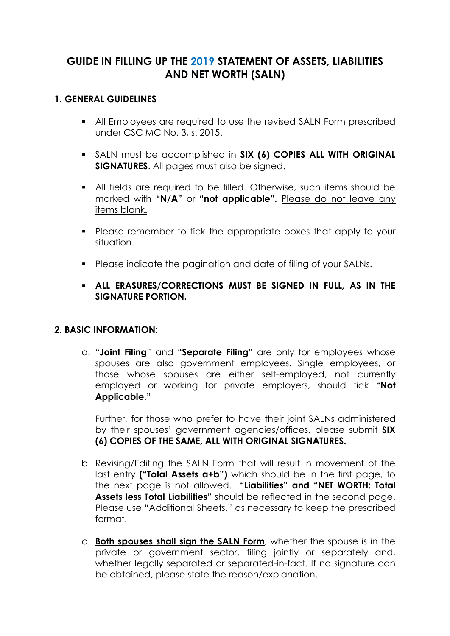# **GUIDE IN FILLING UP THE 2019 STATEMENT OF ASSETS, LIABILITIES AND NET WORTH (SALN)**

### **1. GENERAL GUIDELINES**

- All Employees are required to use the revised SALN Form prescribed under CSC MC No. 3, s. 2015.
- SALN must be accomplished in **SIX (6) COPIES ALL WITH ORIGINAL SIGNATURES**. All pages must also be signed.
- All fields are required to be filled. Otherwise, such items should be marked with **"N/A"** or **"not applicable".** Please do not leave any items blank**.**
- Please remember to tick the appropriate boxes that apply to your situation.
- **Please indicate the pagination and date of filing of your SALNs.**
- **ALL ERASURES/CORRECTIONS MUST BE SIGNED IN FULL, AS IN THE SIGNATURE PORTION.**

## **2. BASIC INFORMATION:**

a. "**Joint Filing**" and **"Separate Filing"** are only for employees whose spouses are also government employees. Single employees, or those whose spouses are either self-employed, not currently employed or working for private employers, should tick **"Not Applicable."**

Further, for those who prefer to have their joint SALNs administered by their spouses' government agencies/offices, please submit **SIX (6) COPIES OF THE SAME, ALL WITH ORIGINAL SIGNATURES.**

- b. Revising/Editing the SALN Form that will result in movement of the last entry **("Total Assets a+b")** which should be in the first page, to the next page is not allowed. **"Liabilities" and "NET WORTH: Total Assets less Total Liabilities"** should be reflected in the second page. Please use "Additional Sheets," as necessary to keep the prescribed format.
- c. **Both spouses shall sign the SALN Form**, whether the spouse is in the private or government sector, filing jointly or separately and, whether legally separated or separated-in-fact. If no signature can be obtained, please state the reason/explanation.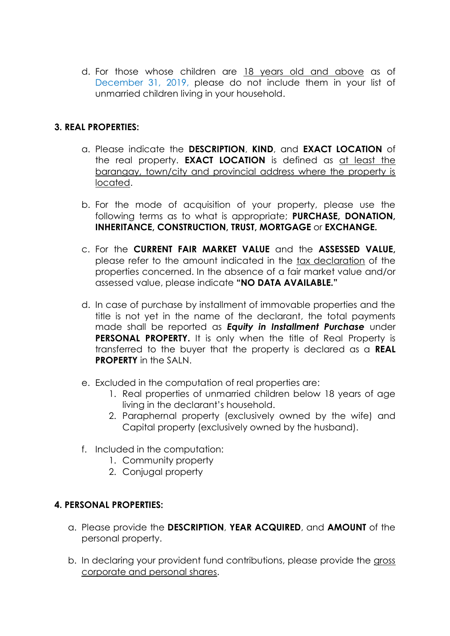d. For those whose children are 18 years old and above as of December 31, 2019, please do not include them in your list of unmarried children living in your household.

## **3. REAL PROPERTIES:**

- a. Please indicate the **DESCRIPTION**, **KIND**, and **EXACT LOCATION** of the real property. **EXACT LOCATION** is defined as at least the barangay, town/city and provincial address where the property is located.
- b. For the mode of acquisition of your property, please use the following terms as to what is appropriate; **PURCHASE, DONATION, INHERITANCE, CONSTRUCTION, TRUST, MORTGAGE** or **EXCHANGE.**
- c. For the **CURRENT FAIR MARKET VALUE** and the **ASSESSED VALUE,** please refer to the amount indicated in the tax declaration of the properties concerned. In the absence of a fair market value and/or assessed value, please indicate **"NO DATA AVAILABLE."**
- d. In case of purchase by installment of immovable properties and the title is not yet in the name of the declarant, the total payments made shall be reported as *Equity in Installment Purchase* under **PERSONAL PROPERTY.** It is only when the title of Real Property is transferred to the buyer that the property is declared as a **REAL PROPERTY** in the SALN.
- e. Excluded in the computation of real properties are:
	- 1. Real properties of unmarried children below 18 years of age living in the declarant's household.
	- 2. Paraphernal property (exclusively owned by the wife) and Capital property (exclusively owned by the husband).
- f. Included in the computation:
	- 1. Community property
	- 2. Conjugal property

#### **4. PERSONAL PROPERTIES:**

- a. Please provide the **DESCRIPTION**, **YEAR ACQUIRED**, and **AMOUNT** of the personal property.
- b. In declaring your provident fund contributions, please provide the gross corporate and personal shares.